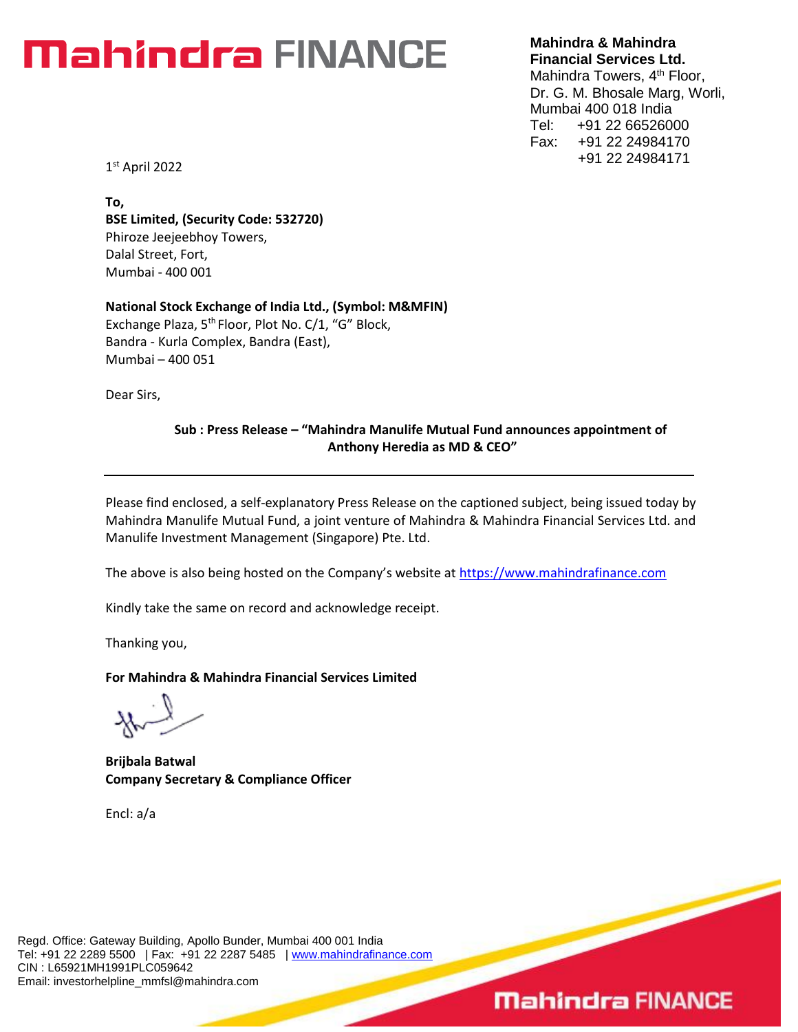# Mahindra FINANCE

**Mahindra & Mahindra Financial Services Ltd.**

Mahindra Towers, 4<sup>th</sup> Floor, Dr. G. M. Bhosale Marg, Worli, Mumbai 400 018 India Tel: +91 22 66526000 Fax: +91 22 24984170 +91 22 24984171

1 st April 2022

**To, BSE Limited, (Security Code: 532720)** Phiroze Jeejeebhoy Towers, Dalal Street, Fort, Mumbai - 400 001

**National Stock Exchange of India Ltd., (Symbol: M&MFIN)** Exchange Plaza, 5<sup>th</sup> Floor, Plot No. C/1, "G" Block, Bandra - Kurla Complex, Bandra (East), Mumbai – 400 051

Dear Sirs,

#### **Sub : Press Release – "Mahindra Manulife Mutual Fund announces appointment of Anthony Heredia as MD & CEO"**

Please find enclosed, a self-explanatory Press Release on the captioned subject, being issued today by Mahindra Manulife Mutual Fund, a joint venture of Mahindra & Mahindra Financial Services Ltd. and Manulife Investment Management (Singapore) Pte. Ltd.

The above is also being hosted on the Company's website at [https://www.mahindrafinance.com](https://www.mahindrafinance.com/)

Kindly take the same on record and acknowledge receipt.

Thanking you,

**For Mahindra & Mahindra Financial Services Limited**

**Brijbala Batwal Company Secretary & Compliance Officer**

Encl: a/a

## **Mahindra FINANCE**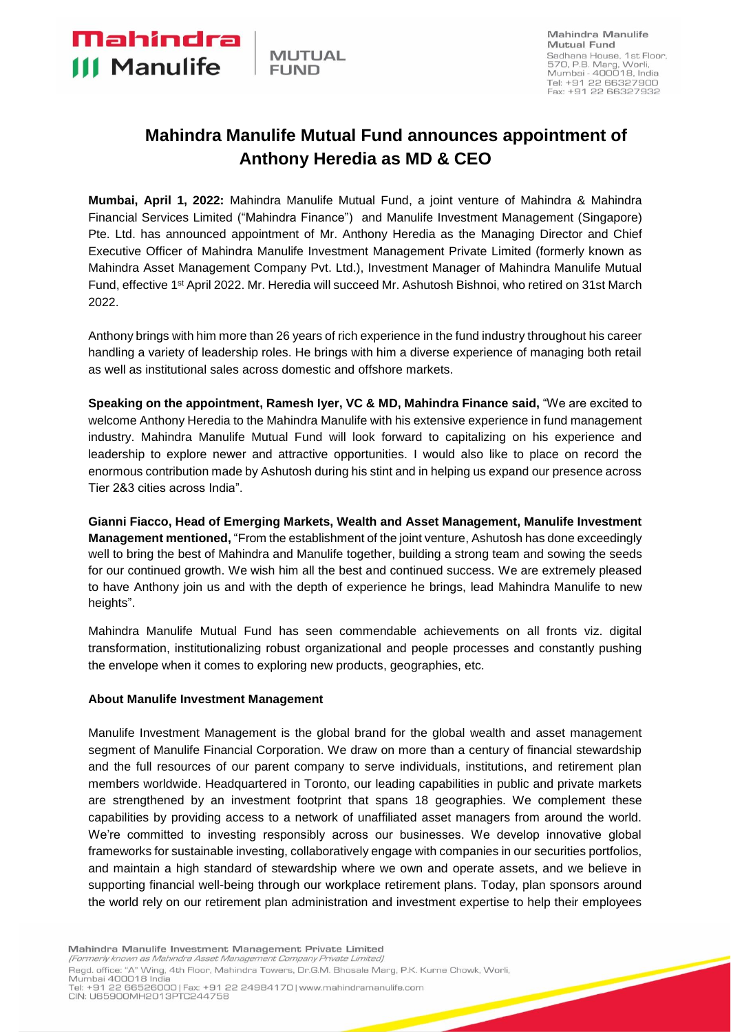Mahindra

**III Manulife** 

### **Mahindra Manulife Mutual Fund announces appointment of Anthony Heredia as MD & CEO**

**Mumbai, April 1, 2022:** Mahindra Manulife Mutual Fund, a joint venture of Mahindra & Mahindra Financial Services Limited ("Mahindra Finance") and Manulife Investment Management (Singapore) Pte. Ltd. has announced appointment of Mr. Anthony Heredia as the Managing Director and Chief Executive Officer of Mahindra Manulife Investment Management Private Limited (formerly known as Mahindra Asset Management Company Pvt. Ltd.), Investment Manager of Mahindra Manulife Mutual Fund, effective 1st April 2022. Mr. Heredia will succeed Mr. Ashutosh Bishnoi, who retired on 31st March 2022.

Anthony brings with him more than 26 years of rich experience in the fund industry throughout his career handling a variety of leadership roles. He brings with him a diverse experience of managing both retail as well as institutional sales across domestic and offshore markets.

**Speaking on the appointment, Ramesh Iyer, VC & MD, Mahindra Finance said,** "We are excited to welcome Anthony Heredia to the Mahindra Manulife with his extensive experience in fund management industry. Mahindra Manulife Mutual Fund will look forward to capitalizing on his experience and leadership to explore newer and attractive opportunities. I would also like to place on record the enormous contribution made by Ashutosh during his stint and in helping us expand our presence across Tier 2&3 cities across India".

**Gianni Fiacco, Head of Emerging Markets, Wealth and Asset Management, Manulife Investment Management mentioned,** "From the establishment of the joint venture, Ashutosh has done exceedingly well to bring the best of Mahindra and Manulife together, building a strong team and sowing the seeds for our continued growth. We wish him all the best and continued success. We are extremely pleased to have Anthony join us and with the depth of experience he brings, lead Mahindra Manulife to new heights".

Mahindra Manulife Mutual Fund has seen commendable achievements on all fronts viz. digital transformation, institutionalizing robust organizational and people processes and constantly pushing the envelope when it comes to exploring new products, geographies, etc.

#### **About Manulife Investment Management**

Manulife Investment Management is the global brand for the global wealth and asset management segment of Manulife Financial Corporation. We draw on more than a century of financial stewardship and the full resources of our parent company to serve individuals, institutions, and retirement plan members worldwide. Headquartered in Toronto, our leading capabilities in public and private markets are strengthened by an investment footprint that spans 18 geographies. We complement these capabilities by providing access to a network of unaffiliated asset managers from around the world. We're committed to investing responsibly across our businesses. We develop innovative global frameworks for sustainable investing, collaboratively engage with companies in our securities portfolios, and maintain a high standard of stewardship where we own and operate assets, and we believe in supporting financial well-being through our workplace retirement plans. Today, plan sponsors around the world rely on our retirement plan administration and investment expertise to help their employees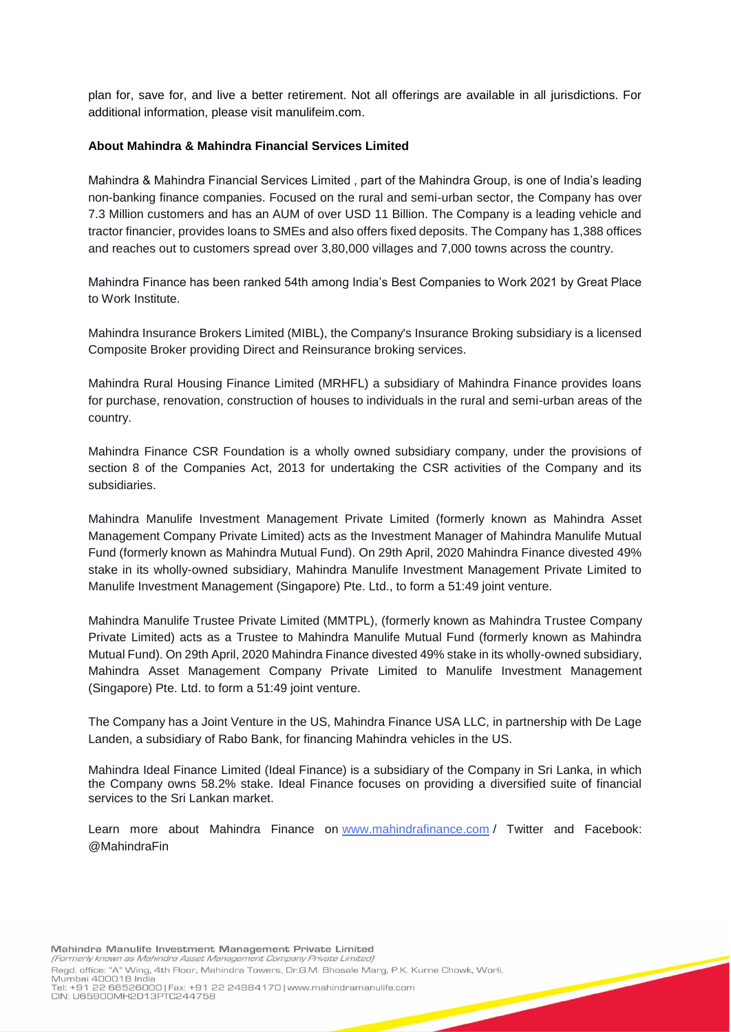plan for, save for, and live a better retirement. Not all offerings are available in all jurisdictions. For additional information, please visit manulifeim.com.

#### **About Mahindra & Mahindra Financial Services Limited**

Mahindra & Mahindra Financial Services Limited , part of the Mahindra Group, is one of India's leading non-banking finance companies. Focused on the rural and semi-urban sector, the Company has over 7.3 Million customers and has an AUM of over USD 11 Billion. The Company is a leading vehicle and tractor financier, provides loans to SMEs and also offers fixed deposits. The Company has 1,388 offices and reaches out to customers spread over 3,80,000 villages and 7,000 towns across the country.

Mahindra Finance has been ranked 54th among India's Best Companies to Work 2021 by Great Place to Work Institute.

Mahindra Insurance Brokers Limited (MIBL), the Company's Insurance Broking subsidiary is a licensed Composite Broker providing Direct and Reinsurance broking services.

Mahindra Rural Housing Finance Limited (MRHFL) a subsidiary of Mahindra Finance provides loans for purchase, renovation, construction of houses to individuals in the rural and semi-urban areas of the country.

Mahindra Finance CSR Foundation is a wholly owned subsidiary company, under the provisions of section 8 of the Companies Act, 2013 for undertaking the CSR activities of the Company and its subsidiaries.

Mahindra Manulife Investment Management Private Limited (formerly known as Mahindra Asset Management Company Private Limited) acts as the Investment Manager of Mahindra Manulife Mutual Fund (formerly known as Mahindra Mutual Fund). On 29th April, 2020 Mahindra Finance divested 49% stake in its wholly-owned subsidiary, Mahindra Manulife Investment Management Private Limited to Manulife Investment Management (Singapore) Pte. Ltd., to form a 51:49 joint venture.

Mahindra Manulife Trustee Private Limited (MMTPL), (formerly known as Mahindra Trustee Company Private Limited) acts as a Trustee to Mahindra Manulife Mutual Fund (formerly known as Mahindra Mutual Fund). On 29th April, 2020 Mahindra Finance divested 49% stake in its wholly-owned subsidiary, Mahindra Asset Management Company Private Limited to Manulife Investment Management (Singapore) Pte. Ltd. to form a 51:49 joint venture.

The Company has a Joint Venture in the US, Mahindra Finance USA LLC, in partnership with De Lage Landen, a subsidiary of Rabo Bank, for financing Mahindra vehicles in the US.

Mahindra Ideal Finance Limited (Ideal Finance) is a subsidiary of the Company in Sri Lanka, in which the Company owns 58.2% stake. Ideal Finance focuses on providing a diversified suite of financial services to the Sri Lankan market.

Learn more about Mahindra Finance on [www.mahindrafinance.com](http://www.mahindrafinance.com/) / Twitter and Facebook: @MahindraFin